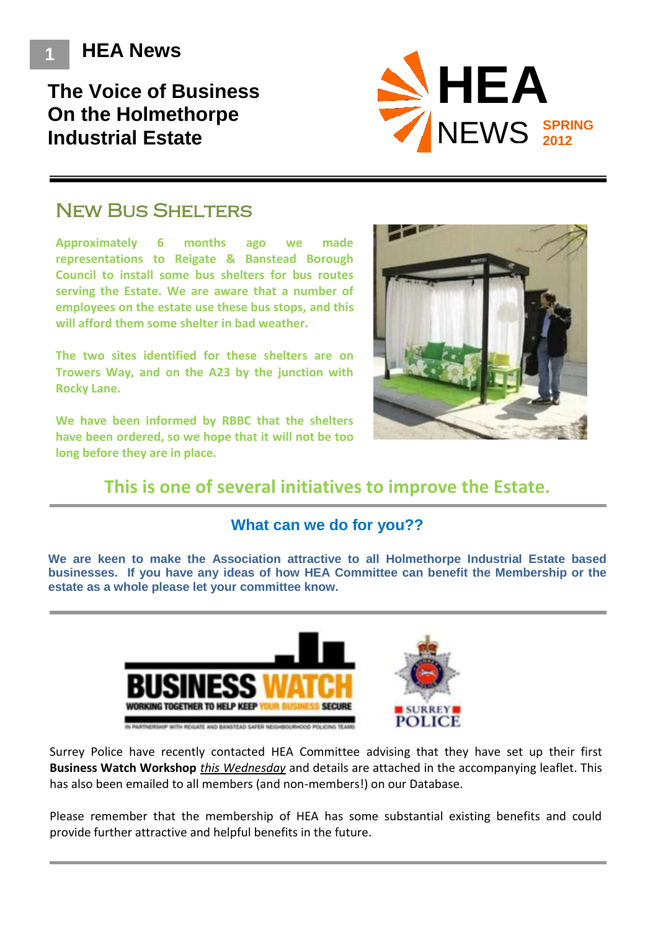**1 HEA News**

# **The Voice of Business On the Holmethorpe Industrial Estate**



## **NEW BUS SHELTERS**

**Approximately 6 months ago we made representations to Reigate & Banstead Borough Council to install some bus shelters for bus routes serving the Estate. We are aware that a number of employees on the estate use these bus stops, and this will afford them some shelter in bad weather.**

**The two sites identified for these shelters are on Trowers Way, and on the A23 by the junction with Rocky Lane.**

**We have been informed by RBBC that the shelters have been ordered, so we hope that it will not be too long before they are in place.**



## **This is one of several initiatives to improve the Estate.**

### **What can we do for you??**

**We are keen to make the Association attractive to all Holmethorpe Industrial Estate based businesses. If you have any ideas of how HEA Committee can benefit the Membership or the estate as a whole please let your committee know.** 



Surrey Police have recently contacted HEA Committee advising that they have set up their first **Business Watch Workshop** *this Wednesday* and details are attached in the accompanying leaflet. This has also been emailed to all members (and non-members!) on our Database.

Please remember that the membership of HEA has some substantial existing benefits and could provide further attractive and helpful benefits in the future.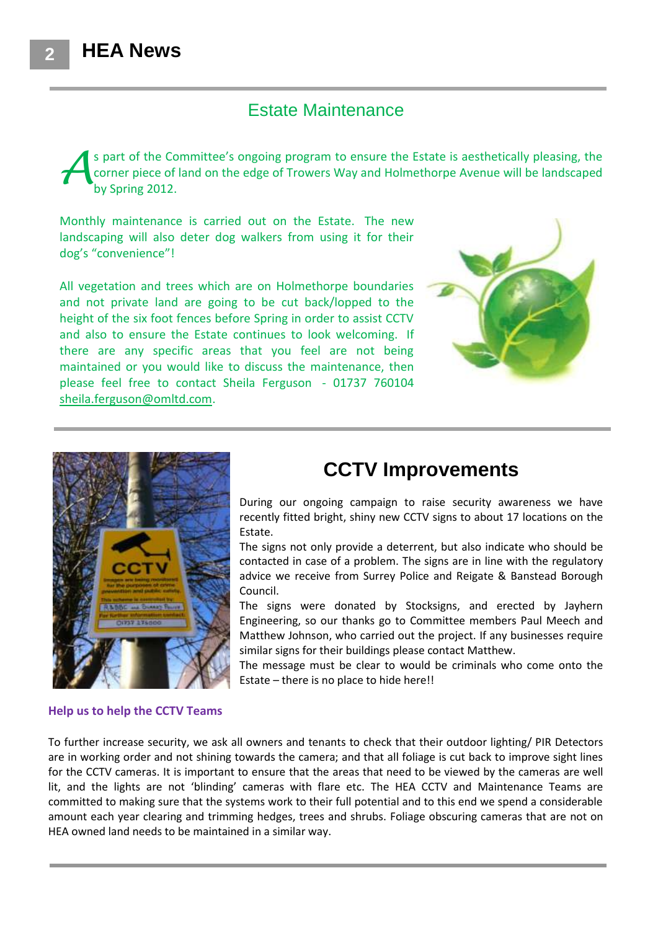### Estate Maintenance

s part of the Committee's ongoing program to ensure the Estate is aesthetically pleasing, the corner piece of land on the edge of Trowers Way and Holmethorpe Avenue will be landscaped by Spring 2012. *A*

Monthly maintenance is carried out on the Estate. The new landscaping will also deter dog walkers from using it for their dog's "convenience"!

All vegetation and trees which are on Holmethorpe boundaries and not private land are going to be cut back/lopped to the height of the six foot fences before Spring in order to assist CCTV and also to ensure the Estate continues to look welcoming. If there are any specific areas that you feel are not being maintained or you would like to discuss the maintenance, then please feel free to contact Sheila Ferguson - 01737 760104 [sheila.ferguson@omltd.com.](mailto:sheila.ferguson@omltd.com)





# **CCTV Improvements**

During our ongoing campaign to raise security awareness we have recently fitted bright, shiny new CCTV signs to about 17 locations on the Estate.

The signs not only provide a deterrent, but also indicate who should be contacted in case of a problem. The signs are in line with the regulatory advice we receive from Surrey Police and Reigate & Banstead Borough Council.

The signs were donated by Stocksigns, and erected by Jayhern Engineering, so our thanks go to Committee members Paul Meech and Matthew Johnson, who carried out the project. If any businesses require similar signs for their buildings please contact Matthew.

The message must be clear to would be criminals who come onto the Estate – there is no place to hide here!!

#### **Help us to help the CCTV Teams**

To further increase security, we ask all owners and tenants to check that their outdoor lighting/ PIR Detectors are in working order and not shining towards the camera; and that all foliage is cut back to improve sight lines for the CCTV cameras. It is important to ensure that the areas that need to be viewed by the cameras are well lit, and the lights are not 'blinding' cameras with flare etc. The HEA CCTV and Maintenance Teams are committed to making sure that the systems work to their full potential and to this end we spend a considerable amount each year clearing and trimming hedges, trees and shrubs. Foliage obscuring cameras that are not on HEA owned land needs to be maintained in a similar way.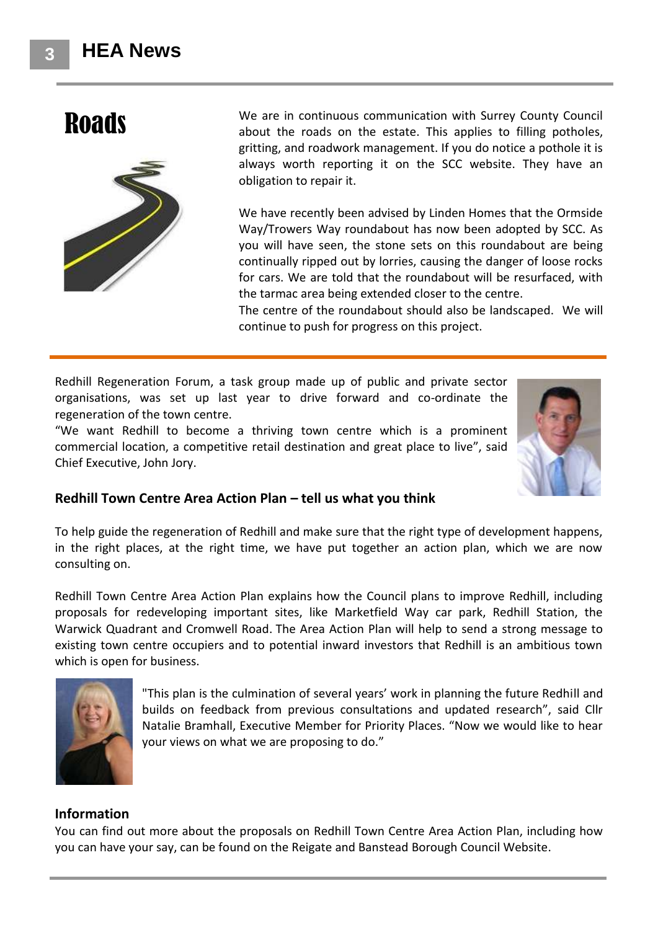

**Roads** We are in continuous communication with Surrey County Council<br>about the reads on the estate. This englise to filling pathology about the roads on the estate. This applies to filling potholes, gritting, and roadwork management. If you do notice a pothole it is always worth reporting it on the SCC website. They have an obligation to repair it.

> We have recently been advised by Linden Homes that the Ormside Way/Trowers Way roundabout has now been adopted by SCC. As you will have seen, the stone sets on this roundabout are being continually ripped out by lorries, causing the danger of loose rocks for cars. We are told that the roundabout will be resurfaced, with the tarmac area being extended closer to the centre.

> The centre of the roundabout should also be landscaped. We will continue to push for progress on this project.

Redhill Regeneration Forum, a task group made up of public and private sector organisations, was set up last year to drive forward and co-ordinate the regeneration of the town centre.

"We want Redhill to become a thriving town centre which is a prominent commercial location, a competitive retail destination and great place to live", said Chief Executive, John Jory.



### **Redhill Town Centre Area Action Plan – tell us what you think**

To help guide the regeneration of Redhill and make sure that the right type of development happens, in the right places, at the right time, we have put together an action plan, which we are now consulting on.

Redhill Town Centre Area Action Plan explains how the Council plans to improve Redhill, including proposals for redeveloping important sites, like Marketfield Way car park, Redhill Station, the Warwick Quadrant and Cromwell Road. The Area Action Plan will help to send a strong message to existing town centre occupiers and to potential inward investors that Redhill is an ambitious town which is open for business.



"This plan is the culmination of several years' work in planning the future Redhill and builds on feedback from previous consultations and updated research", said Cllr Natalie Bramhall, Executive Member for Priority Places. "Now we would like to hear your views on what we are proposing to do."

#### **Information**

You can find out more about the proposals on Redhill Town Centre Area Action Plan, including how you can have your say, can be found on the Reigate and Banstead Borough Council Website.